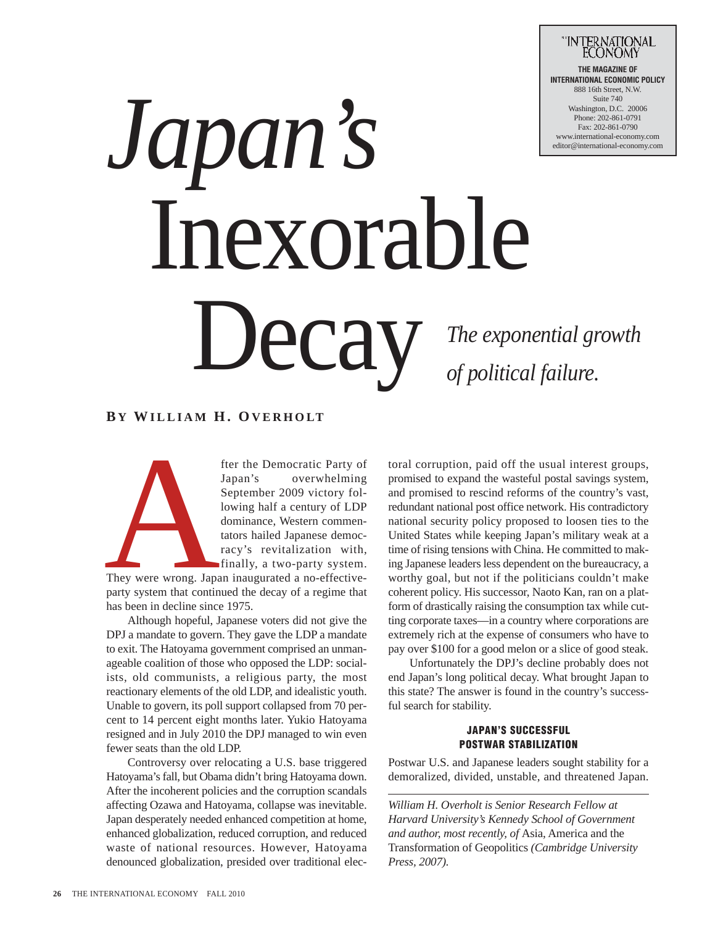

# *Japan's*  Inexorable Decay

*The exponential growth of political failure.*

## **B Y WILLIAM H. OVERHOLT**

fter the Democratic Party of<br>Japan's overwhelming<br>September 2009 victory fol-<br>lowing half a century of LDP<br>dominance, Western commen-<br>tators hailed Japanese democ-<br>racy's revitalization with,<br>finally, a two-party system.<br>T Japan's overwhelming September 2009 victory following half a century of LDP dominance, Western commentators hailed Japanese democracy's revitalization with,

finally, a two-party system. They were wrong. Japan inaugurated a no-effectiveparty system that continued the decay of a regime that has been in decline since 1975.

Although hopeful, Japanese voters did not give the DPJ a mandate to govern. They gave the LDP a mandate to exit. The Hatoyama government comprised an unmanageable coalition of those who opposed the LDP: socialists, old communists, a religious party, the most reactionary elements of the old LDP, and idealistic youth. Unable to govern, its poll support collapsed from 70 percent to 14 percent eight months later. Yukio Hatoyama resigned and in July 2010 the DPJ managed to win even fewer seats than the old LDP.

Controversy over relocating a U.S. base triggered Hatoyama's fall, but Obama didn't bring Hatoyama down. After the incoherent policies and the corruption scandals affecting Ozawa and Hatoyama, collapse was inevitable. Japan desperately needed enhanced competition at home, enhanced globalization, reduced corruption, and reduced waste of national resources. However, Hatoyama denounced globalization, presided over traditional elec-

toral corruption, paid off the usual interest groups, promised to expand the wasteful postal savings system, and promised to rescind reforms of the country's vast, redundant national post office network. His contradictory national security policy proposed to loosen ties to the United States while keeping Japan's military weak at a time of rising tensions with China. He committed to making Japanese leaders less dependent on the bureaucracy, a worthy goal, but not if the politicians couldn't make coherent policy. His successor, Naoto Kan, ran on a platform of drastically raising the consumption tax while cutting corporate taxes—in a country where corporations are extremely rich at the expense of consumers who have to pay over \$100 for a good melon or a slice of good steak.

Unfortunately the DPJ's decline probably does not end Japan's long political decay. What brought Japan to this state? The answer is found in the country's successful search for stability.

## **JAPAN'S SUCCESSFUL POSTWAR STABILIZATION**

Postwar U.S. and Japanese leaders sought stability for a demoralized, divided, unstable, and threatened Japan.

*William H. Overholt is Senior Research Fellow at Harvard University's Kennedy School of Government and author, most recently, of* Asia, America and the Transformation of Geopolitics *(Cambridge University Press, 2007).*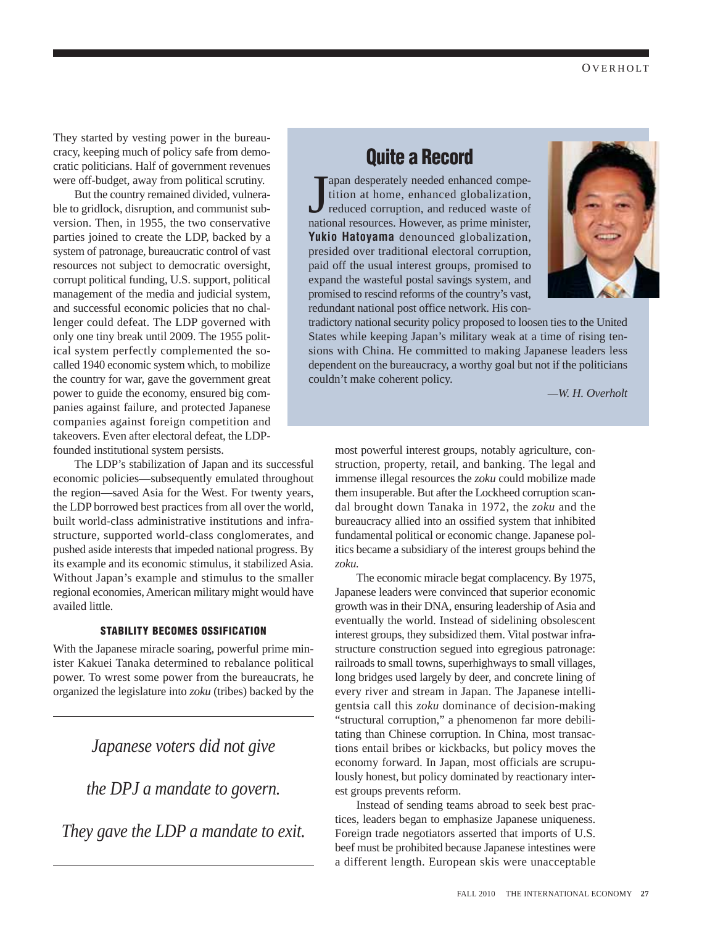They started by vesting power in the bureaucracy, keeping much of policy safe from democratic politicians. Half of government revenues were off-budget, away from political scrutiny.

But the country remained divided, vulnerable to gridlock, disruption, and communist subversion. Then, in 1955, the two conservative parties joined to create the LDP, backed by a system of patronage, bureaucratic control of vast resources not subject to democratic oversight, corrupt political funding, U.S. support, political management of the media and judicial system, and successful economic policies that no challenger could defeat. The LDP governed with only one tiny break until 2009. The 1955 political system perfectly complemented the socalled 1940 economic system which, to mobilize the country for war, gave the government great power to guide the economy, ensured big companies against failure, and protected Japanese companies against foreign competition and takeovers. Even after electoral defeat, the LDPfounded institutional system persists.

The LDP's stabilization of Japan and its successful economic policies—subsequently emulated throughout the region—saved Asia for the West. For twenty years, the LDP borrowed best practices from all over the world, built world-class administrative institutions and infrastructure, supported world-class conglomerates, and pushed aside interests that impeded national progress. By its example and its economic stimulus, it stabilized Asia. Without Japan's example and stimulus to the smaller regional economies, American military might would have availed little.

## **STABILITY BECOMES OSSIFICATION**

With the Japanese miracle soaring, powerful prime minister Kakuei Tanaka determined to rebalance political power. To wrest some power from the bureaucrats, he organized the legislature into *zoku* (tribes) backed by the

## *Japanese voters did not give*

*the DPJ a mandate to govern.* 

*They gave the LDP a mandate to exit.*

# **Quite a Record**

Japan desperately needed enhanced competition at home, enhanced globalization, reduced corruption, and reduced waste of national resources. However, as prime minister, apan desperately needed enhanced competition at home, enhanced globalization, reduced corruption, and reduced waste of **Yukio Hatoyama** denounced globalization, presided over traditional electoral corruption, paid off the usual interest groups, promised to expand the wasteful postal savings system, and promised to rescind reforms of the country's vast, redundant national post office network. His con-



tradictory national security policy proposed to loosen ties to the United States while keeping Japan's military weak at a time of rising tensions with China. He committed to making Japanese leaders less dependent on the bureaucracy, a worthy goal but not if the politicians couldn't make coherent policy.

*—W. H. Overholt*

most powerful interest groups, notably agriculture, construction, property, retail, and banking. The legal and immense illegal resources the *zoku* could mobilize made them insuperable. But after the Lockheed corruption scandal brought down Tanaka in 1972, the *zoku* and the bureaucracy allied into an ossified system that inhibited fundamental political or economic change. Japanese politics became a subsidiary of the interest groups behind the *zoku.* 

The economic miracle begat complacency. By 1975, Japanese leaders were convinced that superior economic growth was in their DNA, ensuring leadership of Asia and eventually the world. Instead of sidelining obsolescent interest groups, they subsidized them. Vital postwar infrastructure construction segued into egregious patronage: railroads to small towns, superhighways to small villages, long bridges used largely by deer, and concrete lining of every river and stream in Japan. The Japanese intelligentsia call this *zoku* dominance of decision-making "structural corruption," a phenomenon far more debilitating than Chinese corruption. In China, most transactions entail bribes or kickbacks, but policy moves the economy forward. In Japan, most officials are scrupulously honest, but policy dominated by reactionary interest groups prevents reform.

Instead of sending teams abroad to seek best practices, leaders began to emphasize Japanese uniqueness. Foreign trade negotiators asserted that imports of U.S. beef must be prohibited because Japanese intestines were a different length. European skis were unacceptable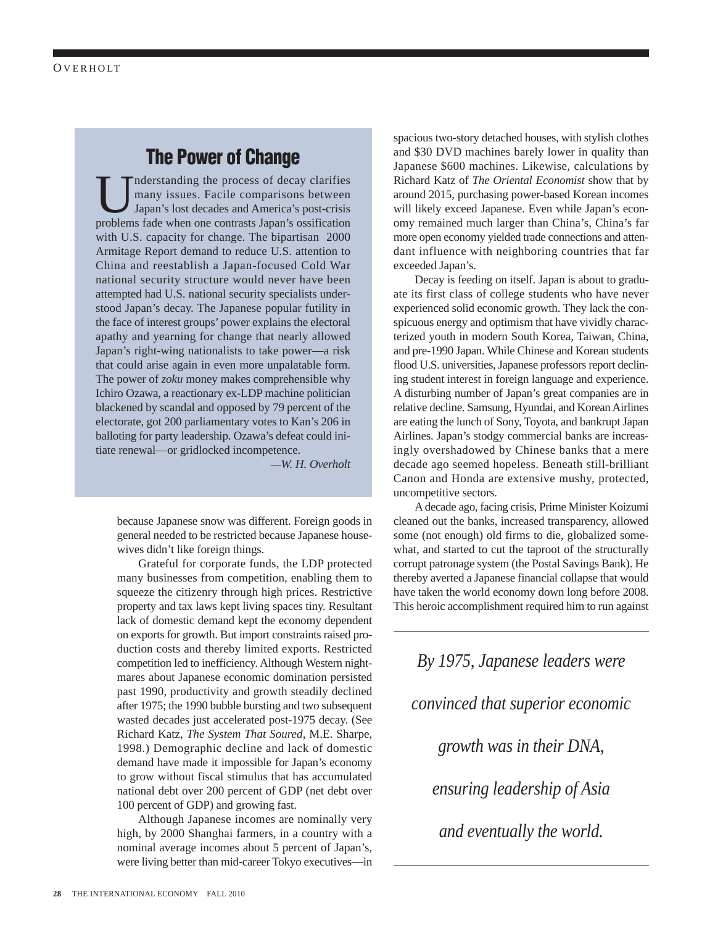## **The Power of Change**

Inderstanding the process of decay clarifies many issues. Facile comparisons between Japan's lost decades and America's post-crisis problems fade when one contrasts Japan's ossification with U.S. capacity for change. The bipartisan 2000 Armitage Report demand to reduce U.S. attention to China and reestablish a Japan-focused Cold War national security structure would never have been attempted had U.S. national security specialists understood Japan's decay. The Japanese popular futility in the face of interest groups' power explains the electoral apathy and yearning for change that nearly allowed Japan's right-wing nationalists to take power—a risk that could arise again in even more unpalatable form. The power of *zoku* money makes comprehensible why Ichiro Ozawa, a reactionary ex-LDP machine politician blackened by scandal and opposed by 79 percent of the electorate, got 200 parliamentary votes to Kan's 206 in balloting for party leadership. Ozawa's defeat could initiate renewal—or gridlocked incompetence.

*—W. H. Overholt*

because Japanese snow was different. Foreign goods in general needed to be restricted because Japanese housewives didn't like foreign things.

Grateful for corporate funds, the LDP protected many businesses from competition, enabling them to squeeze the citizenry through high prices. Restrictive property and tax laws kept living spaces tiny. Resultant lack of domestic demand kept the economy dependent on exports for growth. But import constraints raised production costs and thereby limited exports. Restricted competition led to inefficiency. Although Western nightmares about Japanese economic domination persisted past 1990, productivity and growth steadily declined after 1975; the 1990 bubble bursting and two subsequent wasted decades just accelerated post-1975 decay. (See Richard Katz, *The System That Soured,* M.E. Sharpe, 1998.) Demographic decline and lack of domestic demand have made it impossible for Japan's economy to grow without fiscal stimulus that has accumulated national debt over 200 percent of GDP (net debt over 100 percent of GDP) and growing fast.

Although Japanese incomes are nominally very high, by 2000 Shanghai farmers, in a country with a nominal average incomes about 5 percent of Japan's, were living better than mid-career Tokyo executives—in spacious two-story detached houses, with stylish clothes and \$30 DVD machines barely lower in quality than Japanese \$600 machines. Likewise, calculations by Richard Katz of *The Oriental Economist* show that by around 2015, purchasing power-based Korean incomes will likely exceed Japanese. Even while Japan's economy remained much larger than China's, China's far more open economy yielded trade connections and attendant influence with neighboring countries that far exceeded Japan's.

Decay is feeding on itself. Japan is about to graduate its first class of college students who have never experienced solid economic growth. They lack the conspicuous energy and optimism that have vividly characterized youth in modern South Korea, Taiwan, China, and pre-1990 Japan. While Chinese and Korean students flood U.S. universities, Japanese professors report declining student interest in foreign language and experience. A disturbing number of Japan's great companies are in relative decline. Samsung, Hyundai, and Korean Airlines are eating the lunch of Sony, Toyota, and bankrupt Japan Airlines. Japan's stodgy commercial banks are increasingly overshadowed by Chinese banks that a mere decade ago seemed hopeless. Beneath still-brilliant Canon and Honda are extensive mushy, protected, uncompetitive sectors.

A decade ago, facing crisis, Prime Minister Koizumi cleaned out the banks, increased transparency, allowed some (not enough) old firms to die, globalized somewhat, and started to cut the taproot of the structurally corrupt patronage system (the Postal Savings Bank). He thereby averted a Japanese financial collapse that would have taken the world economy down long before 2008. This heroic accomplishment required him to run against

*By 1975, Japanese leaders were convinced that superior economic growth was in their DNA, ensuring leadership of Asia and eventually the world.*